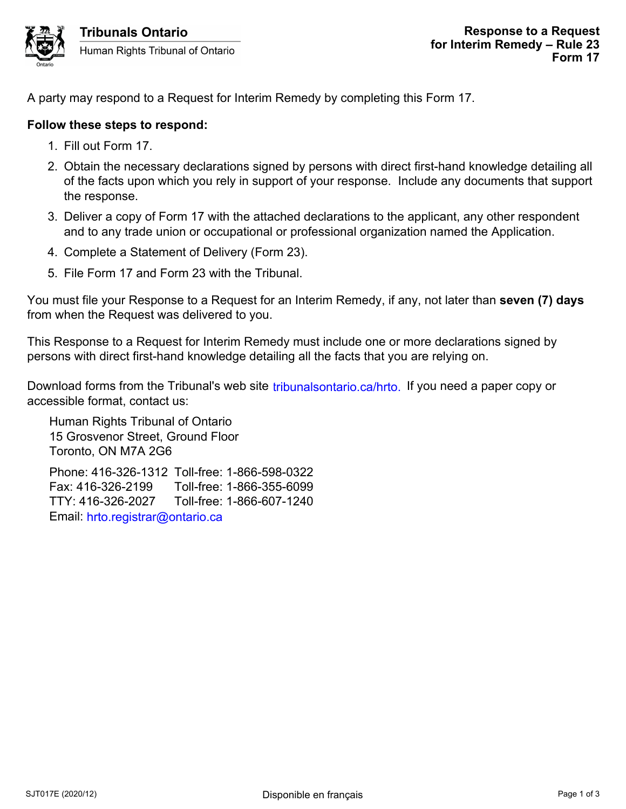

A party may respond to a Request for Interim Remedy by completing this Form 17.

## **Follow these steps to respond:**

- 1. Fill out Form 17.
- 2. Obtain the necessary declarations signed by persons with direct first-hand knowledge detailing all of the facts upon which you rely in support of your response. Include any documents that support the response.
- 3. Deliver a copy of Form 17 with the attached declarations to the applicant, any other respondent and to any trade union or occupational or professional organization named the Application.
- 4. Complete a Statement of Delivery (Form 23).
- 5. File Form 17 and Form 23 with the Tribunal.

You must file your Response to a Request for an Interim Remedy, if any, not later than **seven (7) days** from when the Request was delivered to you.

This Response to a Request for Interim Remedy must include one or more declarations signed by persons with direct first-hand knowledge detailing all the facts that you are relying on.

Download forms from the Tribunal's web site tribunalsontario.ca/hrto. If you need a paper copy or accessible format, contact us:

Human Rights Tribunal of Ontario 15 Grosvenor Street, Ground Floor Toronto, ON M7A 2G6 Phone: 416-326-1312 Toll-free: 1-866-598-0322 Fax: 416-326-2199 Toll-free: 1-866-355-6099 TTY: 416-326-2027 Toll-free: 1-866-607-1240 Email: hrto.registrar@ontario.ca Form the Tribunal's web site tribunalsontario.ca/hrto. If you need a paper copy or<br>
format, contact us:<br>
syence Tsteel, Ground Floor<br>
Page 1 of 3 tribunal of Ontario<br>
2, ON M7A 2G6<br>
4.16-326-1312 Toll-free: 1-866-598-0322<br>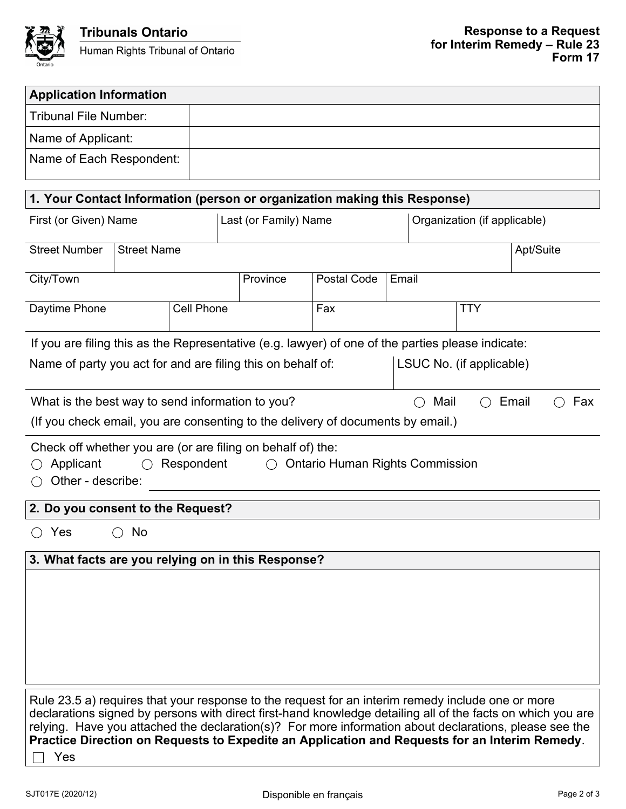

 $\overline{\phantom{a}}$ 

| <b>Application Information</b>                                                                                                                                                                                                                                                                                                                                                                                                     |                    |                                                             |                                                                                 |                    |                          |                              |           |  |
|------------------------------------------------------------------------------------------------------------------------------------------------------------------------------------------------------------------------------------------------------------------------------------------------------------------------------------------------------------------------------------------------------------------------------------|--------------------|-------------------------------------------------------------|---------------------------------------------------------------------------------|--------------------|--------------------------|------------------------------|-----------|--|
| <b>Tribunal File Number:</b>                                                                                                                                                                                                                                                                                                                                                                                                       |                    |                                                             |                                                                                 |                    |                          |                              |           |  |
| Name of Applicant:                                                                                                                                                                                                                                                                                                                                                                                                                 |                    |                                                             |                                                                                 |                    |                          |                              |           |  |
| Name of Each Respondent:                                                                                                                                                                                                                                                                                                                                                                                                           |                    |                                                             |                                                                                 |                    |                          |                              |           |  |
| 1. Your Contact Information (person or organization making this Response)                                                                                                                                                                                                                                                                                                                                                          |                    |                                                             |                                                                                 |                    |                          |                              |           |  |
| First (or Given) Name                                                                                                                                                                                                                                                                                                                                                                                                              |                    |                                                             | Last (or Family) Name                                                           |                    |                          | Organization (if applicable) |           |  |
| <b>Street Number</b>                                                                                                                                                                                                                                                                                                                                                                                                               | <b>Street Name</b> |                                                             |                                                                                 |                    |                          |                              | Apt/Suite |  |
| City/Town                                                                                                                                                                                                                                                                                                                                                                                                                          |                    |                                                             | Province                                                                        | <b>Postal Code</b> | Email                    |                              |           |  |
| Daytime Phone                                                                                                                                                                                                                                                                                                                                                                                                                      |                    | Cell Phone                                                  |                                                                                 | Fax                |                          | <b>TTY</b>                   |           |  |
| If you are filing this as the Representative (e.g. lawyer) of one of the parties please indicate:                                                                                                                                                                                                                                                                                                                                  |                    |                                                             |                                                                                 |                    |                          |                              |           |  |
|                                                                                                                                                                                                                                                                                                                                                                                                                                    |                    | Name of party you act for and are filing this on behalf of: |                                                                                 |                    | LSUC No. (if applicable) |                              |           |  |
| Mail<br>What is the best way to send information to you?<br>Email<br>Fax                                                                                                                                                                                                                                                                                                                                                           |                    |                                                             |                                                                                 |                    |                          |                              |           |  |
|                                                                                                                                                                                                                                                                                                                                                                                                                                    |                    |                                                             | (If you check email, you are consenting to the delivery of documents by email.) |                    |                          |                              |           |  |
| Check off whether you are (or are filing on behalf of) the:<br>Applicant<br>Respondent<br><b>Ontario Human Rights Commission</b><br>$\bigcirc$<br>$($ )<br>Other - describe:                                                                                                                                                                                                                                                       |                    |                                                             |                                                                                 |                    |                          |                              |           |  |
| 2. Do you consent to the Request?                                                                                                                                                                                                                                                                                                                                                                                                  |                    |                                                             |                                                                                 |                    |                          |                              |           |  |
| No<br>Yes                                                                                                                                                                                                                                                                                                                                                                                                                          |                    |                                                             |                                                                                 |                    |                          |                              |           |  |
| 3. What facts are you relying on in this Response?                                                                                                                                                                                                                                                                                                                                                                                 |                    |                                                             |                                                                                 |                    |                          |                              |           |  |
|                                                                                                                                                                                                                                                                                                                                                                                                                                    |                    |                                                             |                                                                                 |                    |                          |                              |           |  |
| Rule 23.5 a) requires that your response to the request for an interim remedy include one or more<br>declarations signed by persons with direct first-hand knowledge detailing all of the facts on which you are<br>relying. Have you attached the declaration(s)? For more information about declarations, please see the<br>Practice Direction on Requests to Expedite an Application and Requests for an Interim Remedy.<br>Yes |                    |                                                             |                                                                                 |                    |                          |                              |           |  |